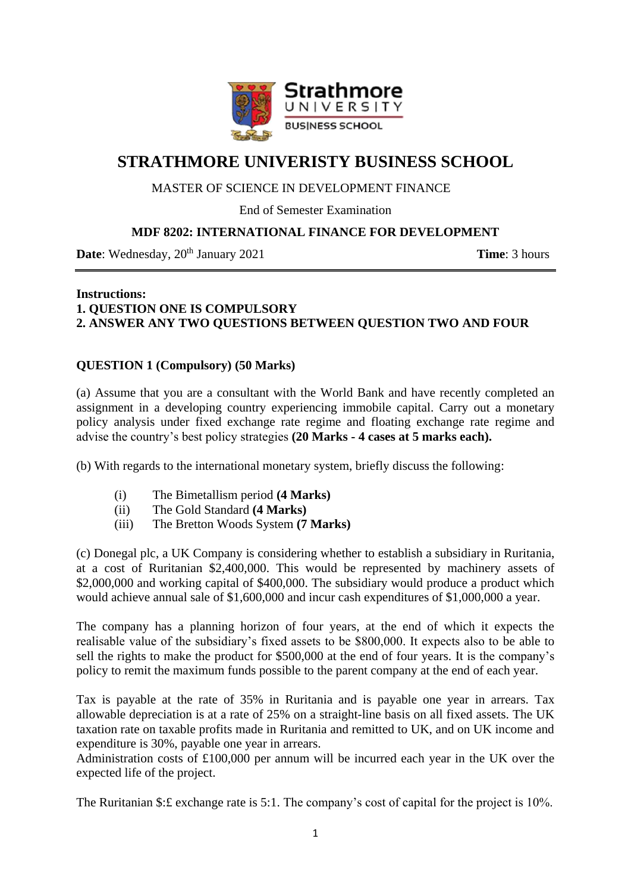

# **STRATHMORE UNIVERISTY BUSINESS SCHOOL**

## MASTER OF SCIENCE IN DEVELOPMENT FINANCE

End of Semester Examination

## **MDF 8202: INTERNATIONAL FINANCE FOR DEVELOPMENT**

**Date**: Wednesday,  $20^{th}$  January 2021 **Time**: 3 hours

### **Instructions: 1. QUESTION ONE IS COMPULSORY 2. ANSWER ANY TWO QUESTIONS BETWEEN QUESTION TWO AND FOUR**

## **QUESTION 1 (Compulsory) (50 Marks)**

(a) Assume that you are a consultant with the World Bank and have recently completed an assignment in a developing country experiencing immobile capital. Carry out a monetary policy analysis under fixed exchange rate regime and floating exchange rate regime and advise the country's best policy strategies **(20 Marks - 4 cases at 5 marks each).** 

(b) With regards to the international monetary system, briefly discuss the following:

- (i) The Bimetallism period **(4 Marks)**
- (ii) The Gold Standard **(4 Marks)**
- (iii) The Bretton Woods System **(7 Marks)**

(c) Donegal plc, a UK Company is considering whether to establish a subsidiary in Ruritania, at a cost of Ruritanian \$2,400,000. This would be represented by machinery assets of \$2,000,000 and working capital of \$400,000. The subsidiary would produce a product which would achieve annual sale of \$1,600,000 and incur cash expenditures of \$1,000,000 a year.

The company has a planning horizon of four years, at the end of which it expects the realisable value of the subsidiary's fixed assets to be \$800,000. It expects also to be able to sell the rights to make the product for \$500,000 at the end of four years. It is the company's policy to remit the maximum funds possible to the parent company at the end of each year.

Tax is payable at the rate of 35% in Ruritania and is payable one year in arrears. Tax allowable depreciation is at a rate of 25% on a straight-line basis on all fixed assets. The UK taxation rate on taxable profits made in Ruritania and remitted to UK, and on UK income and expenditure is 30%, payable one year in arrears.

Administration costs of £100,000 per annum will be incurred each year in the UK over the expected life of the project.

The Ruritanian \$: £ exchange rate is 5:1. The company's cost of capital for the project is 10%.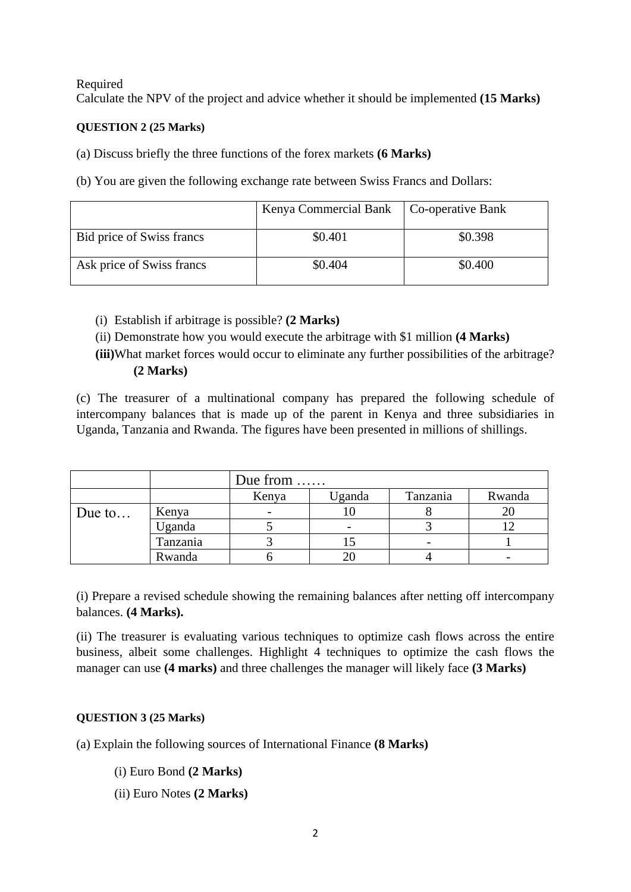#### Required

Calculate the NPV of the project and advice whether it should be implemented **(15 Marks)**

### **QUESTION 2 (25 Marks)**

(a) Discuss briefly the three functions of the forex markets **(6 Marks)**

(b) You are given the following exchange rate between Swiss Francs and Dollars:

|                           | Kenya Commercial Bank | Co-operative Bank |  |
|---------------------------|-----------------------|-------------------|--|
| Bid price of Swiss francs | \$0.401               | \$0.398           |  |
| Ask price of Swiss francs | \$0.404               | \$0.400           |  |

- (i) Establish if arbitrage is possible? **(2 Marks)**
- (ii) Demonstrate how you would execute the arbitrage with \$1 million **(4 Marks)**
- **(iii)**What market forces would occur to eliminate any further possibilities of the arbitrage? **(2 Marks)**

(c) The treasurer of a multinational company has prepared the following schedule of intercompany balances that is made up of the parent in Kenya and three subsidiaries in Uganda, Tanzania and Rwanda. The figures have been presented in millions of shillings.

|        |          | Due from |                          |          |        |  |
|--------|----------|----------|--------------------------|----------|--------|--|
|        |          | Kenya    | Uganda                   | Tanzania | Rwanda |  |
| Due to | Kenya    |          |                          |          | 20     |  |
|        | Uganda   |          | $\overline{\phantom{0}}$ |          |        |  |
|        | Tanzania |          |                          |          |        |  |
|        | Rwanda   |          |                          |          |        |  |

(i) Prepare a revised schedule showing the remaining balances after netting off intercompany balances. **(4 Marks).**

(ii) The treasurer is evaluating various techniques to optimize cash flows across the entire business, albeit some challenges. Highlight 4 techniques to optimize the cash flows the manager can use **(4 marks)** and three challenges the manager will likely face **(3 Marks)**

### **QUESTION 3 (25 Marks)**

- (a) Explain the following sources of International Finance **(8 Marks)**
	- (i) Euro Bond **(2 Marks)**
	- (ii) Euro Notes **(2 Marks)**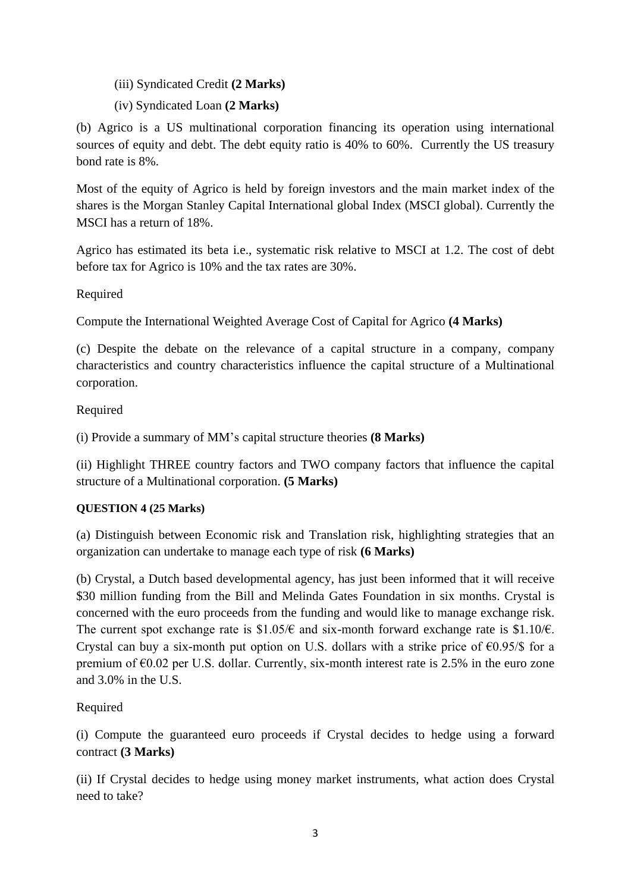- (iii) Syndicated Credit **(2 Marks)**
- (iv) Syndicated Loan **(2 Marks)**

(b) Agrico is a US multinational corporation financing its operation using international sources of equity and debt. The debt equity ratio is 40% to 60%. Currently the US treasury bond rate is 8%.

Most of the equity of Agrico is held by foreign investors and the main market index of the shares is the Morgan Stanley Capital International global Index (MSCI global). Currently the MSCI has a return of 18%.

Agrico has estimated its beta i.e., systematic risk relative to MSCI at 1.2. The cost of debt before tax for Agrico is 10% and the tax rates are 30%.

Required

Compute the International Weighted Average Cost of Capital for Agrico **(4 Marks)**

(c) Despite the debate on the relevance of a capital structure in a company, company characteristics and country characteristics influence the capital structure of a Multinational corporation.

Required

(i) Provide a summary of MM's capital structure theories **(8 Marks)**

(ii) Highlight THREE country factors and TWO company factors that influence the capital structure of a Multinational corporation. **(5 Marks)**

## **QUESTION 4 (25 Marks)**

(a) Distinguish between Economic risk and Translation risk, highlighting strategies that an organization can undertake to manage each type of risk **(6 Marks)**

(b) Crystal, a Dutch based developmental agency, has just been informed that it will receive \$30 million funding from the Bill and Melinda Gates Foundation in six months. Crystal is concerned with the euro proceeds from the funding and would like to manage exchange risk. The current spot exchange rate is  $$1.05/\epsilon$  and six-month forward exchange rate is  $$1.10/\epsilon$ . Crystal can buy a six-month put option on U.S. dollars with a strike price of  $\epsilon$ 0.95/\$ for a premium of  $\epsilon$ 0.02 per U.S. dollar. Currently, six-month interest rate is 2.5% in the euro zone and 3.0% in the U.S.

Required

(i) Compute the guaranteed euro proceeds if Crystal decides to hedge using a forward contract **(3 Marks)**

(ii) If Crystal decides to hedge using money market instruments, what action does Crystal need to take?